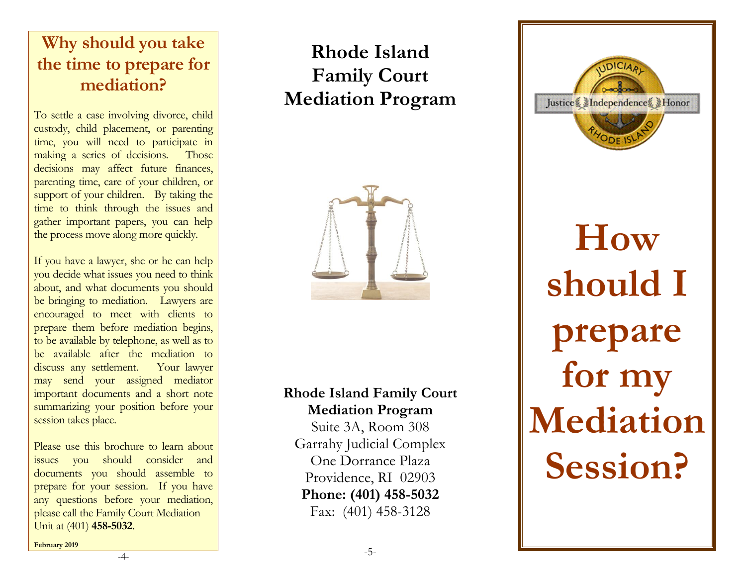# **Why should you take the time to prepare for mediation?**

To settle a case involving divorce, child custody, child placement, or parenting time, you will need to participate in making a series of decisions. Those decisions may affect future finances, parenting time, care of your children, or support of your children. By taking the time to think through the issues and gather important papers, you can help the process move along more quickly.

If you have a lawyer, she or he can help you decide what issues you need to think about, and what documents you should be bringing to mediation. Lawyers are encouraged to meet with clients to prepare them before mediation begins, to be available by telephone, as well as to be available after the mediation to discuss any settlement. Your lawyer may send your assigned mediator important documents and a short note summarizing your position before your session takes place.

Please use this brochure to learn about issues you should consider and documents you should assemble to prepare for your session. If you have any questions before your mediation, please call the Family Court Mediation Unit at (401) **458 -5032** .

# **Rhode Island Family Court Mediation Program**



## **Rhode Island Family Court Mediation Program**

Suite 3A, Room 308 Garrahy Judicial Complex One Dorrance Plaza Providence, RI 02903 **Phone: (401) 458 -5032** Fax: (401) 458 -3128

Island<br>
Court<br>
Program<br>
Program<br>
Family Court<br>
Program<br>
Program<br>
Program<br>
Nediation<br>
Rich (22003)<br>
(RI (22003)<br>
(RI (22003)<br>
(RI (2203)<br>
(RI (2203)<br>
(RI (2203)<br>
(RI (2203)<br>
(RI (2203)<br>
(RI (2203)<br>
(RI (2203)<br>
(RI (2203)<br>
( **How should I prepare for my Mediation** 

**Session?**

**February 2019**